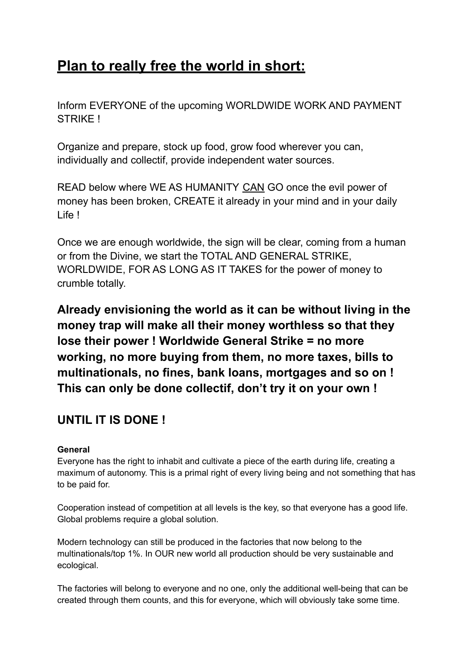# **Plan to really free the world in short:**

Inform EVERYONE of the upcoming WORLDWIDE WORK AND PAYMENT STRIKE !

Organize and prepare, stock up food, grow food wherever you can, individually and collectif, provide independent water sources.

READ below where WE AS HUMANITY CAN GO once the evil power of money has been broken, CREATE it already in your mind and in your daily Life !

Once we are enough worldwide, the sign will be clear, coming from a human or from the Divine, we start the TOTAL AND GENERAL STRIKE, WORLDWIDE, FOR AS LONG AS IT TAKES for the power of money to crumble totally.

**Already envisioning the world as it can be without living in the money trap will make all their money worthless so that they lose their power ! Worldwide General Strike = no more working, no more buying from them, no more taxes, bills to multinationals, no fines, bank loans, mortgages and so on ! This can only be done collectif, don't try it on your own !**

# **UNTIL IT IS DONE !**

# **General**

Everyone has the right to inhabit and cultivate a piece of the earth during life, creating a maximum of autonomy. This is a primal right of every living being and not something that has to be paid for.

Cooperation instead of competition at all levels is the key, so that everyone has a good life. Global problems require a global solution.

Modern technology can still be produced in the factories that now belong to the multinationals/top 1%. In OUR new world all production should be very sustainable and ecological.

The factories will belong to everyone and no one, only the additional well-being that can be created through them counts, and this for everyone, which will obviously take some time.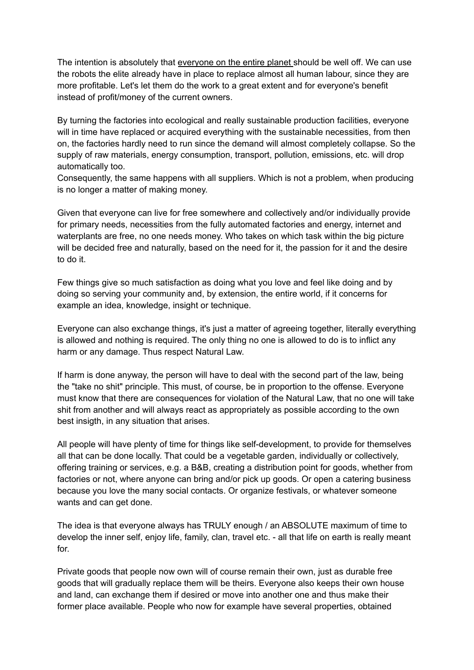The intention is absolutely that everyone on the entire planet should be well off. We can use the robots the elite already have in place to replace almost all human labour, since they are more profitable. Let's let them do the work to a great extent and for everyone's benefit instead of profit/money of the current owners.

By turning the factories into ecological and really sustainable production facilities, everyone will in time have replaced or acquired everything with the sustainable necessities, from then on, the factories hardly need to run since the demand will almost completely collapse. So the supply of raw materials, energy consumption, transport, pollution, emissions, etc. will drop automatically too.

Consequently, the same happens with all suppliers. Which is not a problem, when producing is no longer a matter of making money.

Given that everyone can live for free somewhere and collectively and/or individually provide for primary needs, necessities from the fully automated factories and energy, internet and waterplants are free, no one needs money. Who takes on which task within the big picture will be decided free and naturally, based on the need for it, the passion for it and the desire to do it.

Few things give so much satisfaction as doing what you love and feel like doing and by doing so serving your community and, by extension, the entire world, if it concerns for example an idea, knowledge, insight or technique.

Everyone can also exchange things, it's just a matter of agreeing together, literally everything is allowed and nothing is required. The only thing no one is allowed to do is to inflict any harm or any damage. Thus respect Natural Law.

If harm is done anyway, the person will have to deal with the second part of the law, being the "take no shit" principle. This must, of course, be in proportion to the offense. Everyone must know that there are consequences for violation of the Natural Law, that no one will take shit from another and will always react as appropriately as possible according to the own best insigth, in any situation that arises.

All people will have plenty of time for things like self-development, to provide for themselves all that can be done locally. That could be a vegetable garden, individually or collectively, offering training or services, e.g. a B&B, creating a distribution point for goods, whether from factories or not, where anyone can bring and/or pick up goods. Or open a catering business because you love the many social contacts. Or organize festivals, or whatever someone wants and can get done.

The idea is that everyone always has TRULY enough / an ABSOLUTE maximum of time to develop the inner self, enjoy life, family, clan, travel etc. - all that life on earth is really meant for.

Private goods that people now own will of course remain their own, just as durable free goods that will gradually replace them will be theirs. Everyone also keeps their own house and land, can exchange them if desired or move into another one and thus make their former place available. People who now for example have several properties, obtained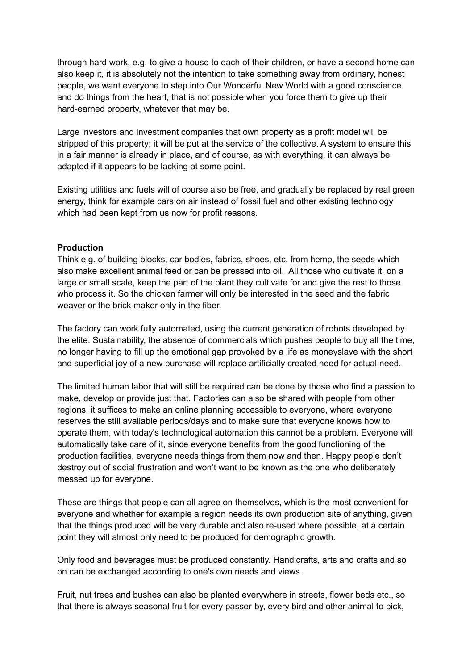through hard work, e.g. to give a house to each of their children, or have a second home can also keep it, it is absolutely not the intention to take something away from ordinary, honest people, we want everyone to step into Our Wonderful New World with a good conscience and do things from the heart, that is not possible when you force them to give up their hard-earned property, whatever that may be.

Large investors and investment companies that own property as a profit model will be stripped of this property; it will be put at the service of the collective. A system to ensure this in a fair manner is already in place, and of course, as with everything, it can always be adapted if it appears to be lacking at some point.

Existing utilities and fuels will of course also be free, and gradually be replaced by real green energy, think for example cars on air instead of fossil fuel and other existing technology which had been kept from us now for profit reasons.

#### **Production**

Think e.g. of building blocks, car bodies, fabrics, shoes, etc. from hemp, the seeds which also make excellent animal feed or can be pressed into oil. All those who cultivate it, on a large or small scale, keep the part of the plant they cultivate for and give the rest to those who process it. So the chicken farmer will only be interested in the seed and the fabric weaver or the brick maker only in the fiber.

The factory can work fully automated, using the current generation of robots developed by the elite. Sustainability, the absence of commercials which pushes people to buy all the time, no longer having to fill up the emotional gap provoked by a life as moneyslave with the short and superficial joy of a new purchase will replace artificially created need for actual need.

The limited human labor that will still be required can be done by those who find a passion to make, develop or provide just that. Factories can also be shared with people from other regions, it suffices to make an online planning accessible to everyone, where everyone reserves the still available periods/days and to make sure that everyone knows how to operate them, with today's technological automation this cannot be a problem. Everyone will automatically take care of it, since everyone benefits from the good functioning of the production facilities, everyone needs things from them now and then. Happy people don't destroy out of social frustration and won't want to be known as the one who deliberately messed up for everyone.

These are things that people can all agree on themselves, which is the most convenient for everyone and whether for example a region needs its own production site of anything, given that the things produced will be very durable and also re-used where possible, at a certain point they will almost only need to be produced for demographic growth.

Only food and beverages must be produced constantly. Handicrafts, arts and crafts and so on can be exchanged according to one's own needs and views.

Fruit, nut trees and bushes can also be planted everywhere in streets, flower beds etc., so that there is always seasonal fruit for every passer-by, every bird and other animal to pick,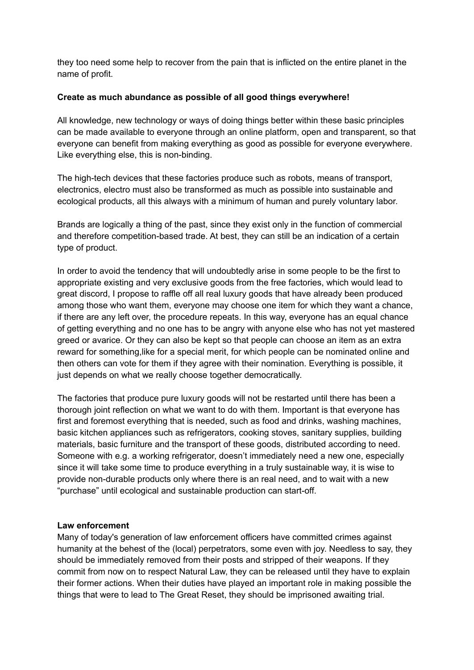they too need some help to recover from the pain that is inflicted on the entire planet in the name of profit.

## **Create as much abundance as possible of all good things everywhere!**

All knowledge, new technology or ways of doing things better within these basic principles can be made available to everyone through an online platform, open and transparent, so that everyone can benefit from making everything as good as possible for everyone everywhere. Like everything else, this is non-binding.

The high-tech devices that these factories produce such as robots, means of transport, electronics, electro must also be transformed as much as possible into sustainable and ecological products, all this always with a minimum of human and purely voluntary labor.

Brands are logically a thing of the past, since they exist only in the function of commercial and therefore competition-based trade. At best, they can still be an indication of a certain type of product.

In order to avoid the tendency that will undoubtedly arise in some people to be the first to appropriate existing and very exclusive goods from the free factories, which would lead to great discord, I propose to raffle off all real luxury goods that have already been produced among those who want them, everyone may choose one item for which they want a chance, if there are any left over, the procedure repeats. In this way, everyone has an equal chance of getting everything and no one has to be angry with anyone else who has not yet mastered greed or avarice. Or they can also be kept so that people can choose an item as an extra reward for something,like for a special merit, for which people can be nominated online and then others can vote for them if they agree with their nomination. Everything is possible, it just depends on what we really choose together democratically.

The factories that produce pure luxury goods will not be restarted until there has been a thorough joint reflection on what we want to do with them. Important is that everyone has first and foremost everything that is needed, such as food and drinks, washing machines, basic kitchen appliances such as refrigerators, cooking stoves, sanitary supplies, building materials, basic furniture and the transport of these goods, distributed according to need. Someone with e.g. a working refrigerator, doesn't immediately need a new one, especially since it will take some time to produce everything in a truly sustainable way, it is wise to provide non-durable products only where there is an real need, and to wait with a new "purchase" until ecological and sustainable production can start-off.

# **Law enforcement**

Many of today's generation of law enforcement officers have committed crimes against humanity at the behest of the (local) perpetrators, some even with joy. Needless to say, they should be immediately removed from their posts and stripped of their weapons. If they commit from now on to respect Natural Law, they can be released until they have to explain their former actions. When their duties have played an important role in making possible the things that were to lead to The Great Reset, they should be imprisoned awaiting trial.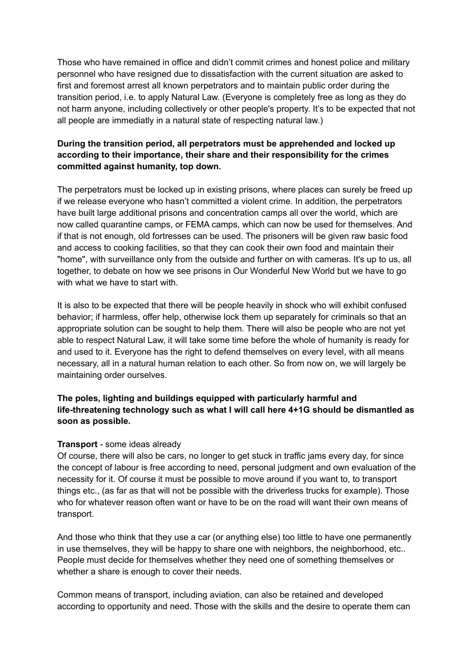Those who have remained in office and didn't commit crimes and honest police and military personnel who have resigned due to dissatisfaction with the current situation are asked to first and foremost arrest all known perpetrators and to maintain public order during the transition period, i.e. to apply Natural Law. (Everyone is completely free as long as they do not harm anyone, including collectively or other people's property. It's to be expected that not all people are immediatly in a natural state of respecting natural law.)

# **During the transition period, all perpetrators must be apprehended and locked up according to their importance, their share and their responsibility for the crimes committed against humanity, top down.**

The perpetrators must be locked up in existing prisons, where places can surely be freed up if we release everyone who hasn't committed a violent crime. In addition, the perpetrators have built large additional prisons and concentration camps all over the world, which are now called quarantine camps, or FEMA camps, which can now be used for themselves. And if that is not enough, old fortresses can be used. The prisoners will be given raw basic food and access to cooking facilities, so that they can cook their own food and maintain their "home", with surveillance only from the outside and further on with cameras. It's up to us, all together, to debate on how we see prisons in Our Wonderful New World but we have to go with what we have to start with.

It is also to be expected that there will be people heavily in shock who will exhibit confused behavior; if harmless, offer help, otherwise lock them up separately for criminals so that an appropriate solution can be sought to help them. There will also be people who are not yet able to respect Natural Law, it will take some time before the whole of humanity is ready for and used to it. Everyone has the right to defend themselves on every level, with all means necessary, all in a natural human relation to each other. So from now on, we will largely be maintaining order ourselves.

# **The poles, lighting and buildings equipped with particularly harmful and life-threatening technology such as what I will call here 4+1G should be dismantled as soon as possible.**

#### **Transport** - some ideas already

Of course, there will also be cars, no longer to get stuck in traffic jams every day, for since the concept of labour is free according to need, personal judgment and own evaluation of the necessity for it. Of course it must be possible to move around if you want to, to transport things etc., (as far as that will not be possible with the driverless trucks for example). Those who for whatever reason often want or have to be on the road will want their own means of transport.

And those who think that they use a car (or anything else) too little to have one permanently in use themselves, they will be happy to share one with neighbors, the neighborhood, etc.. People must decide for themselves whether they need one of something themselves or whether a share is enough to cover their needs.

Common means of transport, including aviation, can also be retained and developed according to opportunity and need. Those with the skills and the desire to operate them can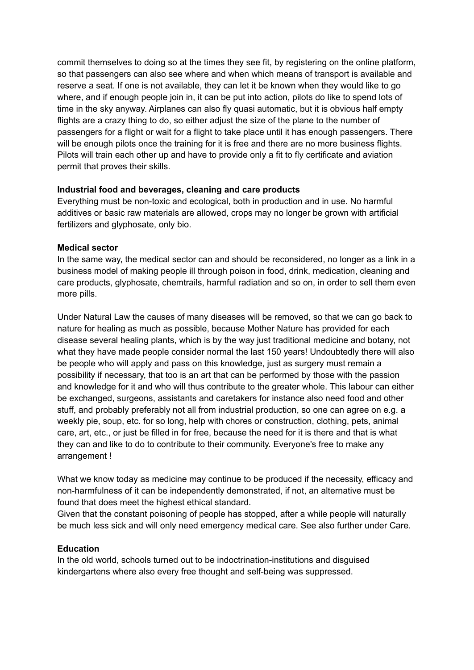commit themselves to doing so at the times they see fit, by registering on the online platform, so that passengers can also see where and when which means of transport is available and reserve a seat. If one is not available, they can let it be known when they would like to go where, and if enough people join in, it can be put into action, pilots do like to spend lots of time in the sky anyway. Airplanes can also fly quasi automatic, but it is obvious half empty flights are a crazy thing to do, so either adjust the size of the plane to the number of passengers for a flight or wait for a flight to take place until it has enough passengers. There will be enough pilots once the training for it is free and there are no more business flights. Pilots will train each other up and have to provide only a fit to fly certificate and aviation permit that proves their skills.

#### **Industrial food and beverages, cleaning and care products**

Everything must be non-toxic and ecological, both in production and in use. No harmful additives or basic raw materials are allowed, crops may no longer be grown with artificial fertilizers and glyphosate, only bio.

#### **Medical sector**

In the same way, the medical sector can and should be reconsidered, no longer as a link in a business model of making people ill through poison in food, drink, medication, cleaning and care products, glyphosate, chemtrails, harmful radiation and so on, in order to sell them even more pills.

Under Natural Law the causes of many diseases will be removed, so that we can go back to nature for healing as much as possible, because Mother Nature has provided for each disease several healing plants, which is by the way just traditional medicine and botany, not what they have made people consider normal the last 150 years! Undoubtedly there will also be people who will apply and pass on this knowledge, just as surgery must remain a possibility if necessary, that too is an art that can be performed by those with the passion and knowledge for it and who will thus contribute to the greater whole. This labour can either be exchanged, surgeons, assistants and caretakers for instance also need food and other stuff, and probably preferably not all from industrial production, so one can agree on e.g. a weekly pie, soup, etc. for so long, help with chores or construction, clothing, pets, animal care, art, etc., or just be filled in for free, because the need for it is there and that is what they can and like to do to contribute to their community. Everyone's free to make any arrangement !

What we know today as medicine may continue to be produced if the necessity, efficacy and non-harmfulness of it can be independently demonstrated, if not, an alternative must be found that does meet the highest ethical standard.

Given that the constant poisoning of people has stopped, after a while people will naturally be much less sick and will only need emergency medical care. See also further under Care.

#### **Education**

In the old world, schools turned out to be indoctrination-institutions and disguised kindergartens where also every free thought and self-being was suppressed.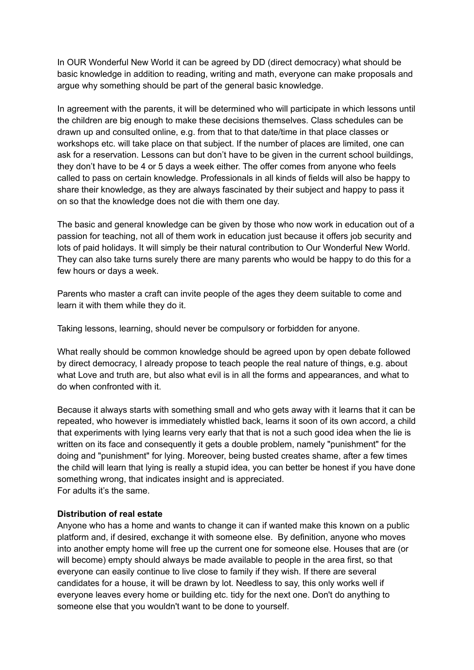In OUR Wonderful New World it can be agreed by DD (direct democracy) what should be basic knowledge in addition to reading, writing and math, everyone can make proposals and argue why something should be part of the general basic knowledge.

In agreement with the parents, it will be determined who will participate in which lessons until the children are big enough to make these decisions themselves. Class schedules can be drawn up and consulted online, e.g. from that to that date/time in that place classes or workshops etc. will take place on that subject. If the number of places are limited, one can ask for a reservation. Lessons can but don't have to be given in the current school buildings, they don't have to be 4 or 5 days a week either. The offer comes from anyone who feels called to pass on certain knowledge. Professionals in all kinds of fields will also be happy to share their knowledge, as they are always fascinated by their subject and happy to pass it on so that the knowledge does not die with them one day.

The basic and general knowledge can be given by those who now work in education out of a passion for teaching, not all of them work in education just because it offers job security and lots of paid holidays. It will simply be their natural contribution to Our Wonderful New World. They can also take turns surely there are many parents who would be happy to do this for a few hours or days a week.

Parents who master a craft can invite people of the ages they deem suitable to come and learn it with them while they do it.

Taking lessons, learning, should never be compulsory or forbidden for anyone.

What really should be common knowledge should be agreed upon by open debate followed by direct democracy, I already propose to teach people the real nature of things, e.g. about what Love and truth are, but also what evil is in all the forms and appearances, and what to do when confronted with it.

Because it always starts with something small and who gets away with it learns that it can be repeated, who however is immediately whistled back, learns it soon of its own accord, a child that experiments with lying learns very early that that is not a such good idea when the lie is written on its face and consequently it gets a double problem, namely "punishment" for the doing and "punishment" for lying. Moreover, being busted creates shame, after a few times the child will learn that lying is really a stupid idea, you can better be honest if you have done something wrong, that indicates insight and is appreciated. For adults it's the same.

#### **Distribution of real estate**

Anyone who has a home and wants to change it can if wanted make this known on a public platform and, if desired, exchange it with someone else. By definition, anyone who moves into another empty home will free up the current one for someone else. Houses that are (or will become) empty should always be made available to people in the area first, so that everyone can easily continue to live close to family if they wish. If there are several candidates for a house, it will be drawn by lot. Needless to say, this only works well if everyone leaves every home or building etc. tidy for the next one. Don't do anything to someone else that you wouldn't want to be done to yourself.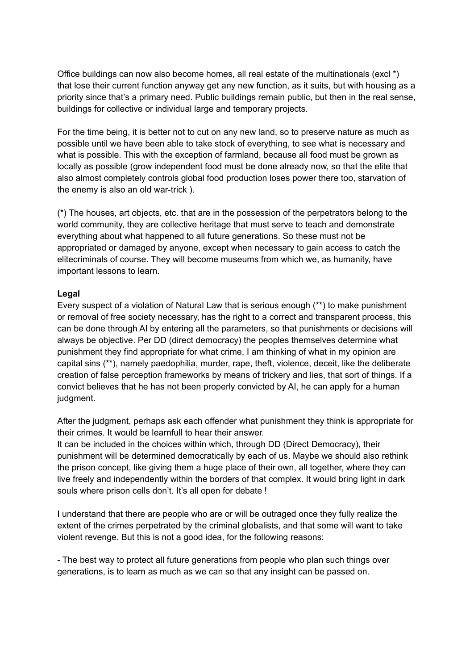Office buildings can now also become homes, all real estate of the multinationals (excl \*) that lose their current function anyway get any new function, as it suits, but with housing as a priority since that's a primary need. Public buildings remain public, but then in the real sense, buildings for collective or individual large and temporary projects.

For the time being, it is better not to cut on any new land, so to preserve nature as much as possible until we have been able to take stock of everything, to see what is necessary and what is possible. This with the exception of farmland, because all food must be grown as locally as possible (grow independent food must be done already now, so that the elite that also almost completely controls global food production loses power there too, starvation of the enemy is also an old war-trick ).

(\*) The houses, art objects, etc. that are in the possession of the perpetrators belong to the world community, they are collective heritage that must serve to teach and demonstrate everything about what happened to all future generations. So these must not be appropriated or damaged by anyone, except when necessary to gain access to catch the elitecriminals of course. They will become museums from which we, as humanity, have important lessons to learn.

#### **Legal**

Every suspect of a violation of Natural Law that is serious enough (\*\*) to make punishment or removal of free society necessary, has the right to a correct and transparent process, this can be done through AI by entering all the parameters, so that punishments or decisions will always be objective. Per DD (direct democracy) the peoples themselves determine what punishment they find appropriate for what crime, I am thinking of what in my opinion are capital sins (\*\*), namely paedophilia, murder, rape, theft, violence, deceit, like the deliberate creation of false perception frameworks by means of trickery and lies, that sort of things. If a convict believes that he has not been properly convicted by AI, he can apply for a human judgment.

After the judgment, perhaps ask each offender what punishment they think is appropriate for their crimes. It would be learnfull to hear their answer.

It can be included in the choices within which, through DD (Direct Democracy), their punishment will be determined democratically by each of us. Maybe we should also rethink the prison concept, like giving them a huge place of their own, all together, where they can live freely and independently within the borders of that complex. It would bring light in dark souls where prison cells don't. It's all open for debate !

I understand that there are people who are or will be outraged once they fully realize the extent of the crimes perpetrated by the criminal globalists, and that some will want to take violent revenge. But this is not a good idea, for the following reasons:

- The best way to protect all future generations from people who plan such things over generations, is to learn as much as we can so that any insight can be passed on.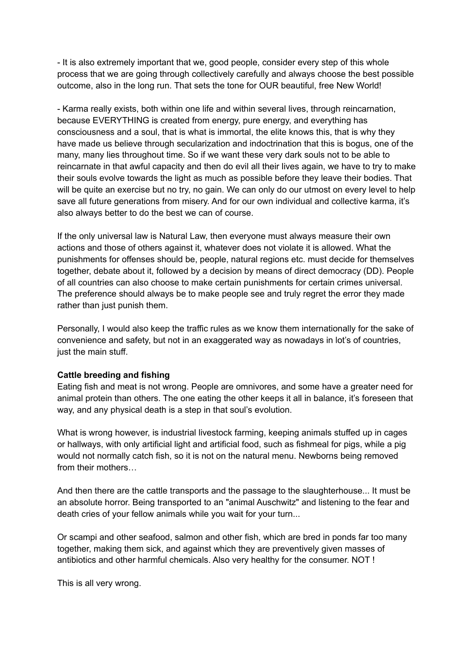- It is also extremely important that we, good people, consider every step of this whole process that we are going through collectively carefully and always choose the best possible outcome, also in the long run. That sets the tone for OUR beautiful, free New World!

- Karma really exists, both within one life and within several lives, through reincarnation, because EVERYTHING is created from energy, pure energy, and everything has consciousness and a soul, that is what is immortal, the elite knows this, that is why they have made us believe through secularization and indoctrination that this is bogus, one of the many, many lies throughout time. So if we want these very dark souls not to be able to reincarnate in that awful capacity and then do evil all their lives again, we have to try to make their souls evolve towards the light as much as possible before they leave their bodies. That will be quite an exercise but no try, no gain. We can only do our utmost on every level to help save all future generations from misery. And for our own individual and collective karma, it's also always better to do the best we can of course.

If the only universal law is Natural Law, then everyone must always measure their own actions and those of others against it, whatever does not violate it is allowed. What the punishments for offenses should be, people, natural regions etc. must decide for themselves together, debate about it, followed by a decision by means of direct democracy (DD). People of all countries can also choose to make certain punishments for certain crimes universal. The preference should always be to make people see and truly regret the error they made rather than just punish them.

Personally, I would also keep the traffic rules as we know them internationally for the sake of convenience and safety, but not in an exaggerated way as nowadays in lot's of countries, just the main stuff.

#### **Cattle breeding and fishing**

Eating fish and meat is not wrong. People are omnivores, and some have a greater need for animal protein than others. The one eating the other keeps it all in balance, it's foreseen that way, and any physical death is a step in that soul's evolution.

What is wrong however, is industrial livestock farming, keeping animals stuffed up in cages or hallways, with only artificial light and artificial food, such as fishmeal for pigs, while a pig would not normally catch fish, so it is not on the natural menu. Newborns being removed from their mothers…

And then there are the cattle transports and the passage to the slaughterhouse... It must be an absolute horror. Being transported to an "animal Auschwitz" and listening to the fear and death cries of your fellow animals while you wait for your turn...

Or scampi and other seafood, salmon and other fish, which are bred in ponds far too many together, making them sick, and against which they are preventively given masses of antibiotics and other harmful chemicals. Also very healthy for the consumer. NOT !

This is all very wrong.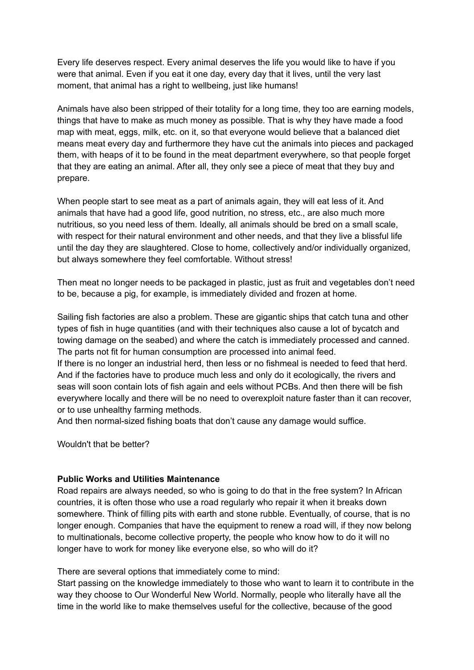Every life deserves respect. Every animal deserves the life you would like to have if you were that animal. Even if you eat it one day, every day that it lives, until the very last moment, that animal has a right to wellbeing, just like humans!

Animals have also been stripped of their totality for a long time, they too are earning models, things that have to make as much money as possible. That is why they have made a food map with meat, eggs, milk, etc. on it, so that everyone would believe that a balanced diet means meat every day and furthermore they have cut the animals into pieces and packaged them, with heaps of it to be found in the meat department everywhere, so that people forget that they are eating an animal. After all, they only see a piece of meat that they buy and prepare.

When people start to see meat as a part of animals again, they will eat less of it. And animals that have had a good life, good nutrition, no stress, etc., are also much more nutritious, so you need less of them. Ideally, all animals should be bred on a small scale, with respect for their natural environment and other needs, and that they live a blissful life until the day they are slaughtered. Close to home, collectively and/or individually organized, but always somewhere they feel comfortable. Without stress!

Then meat no longer needs to be packaged in plastic, just as fruit and vegetables don't need to be, because a pig, for example, is immediately divided and frozen at home.

Sailing fish factories are also a problem. These are gigantic ships that catch tuna and other types of fish in huge quantities (and with their techniques also cause a lot of bycatch and towing damage on the seabed) and where the catch is immediately processed and canned. The parts not fit for human consumption are processed into animal feed.

If there is no longer an industrial herd, then less or no fishmeal is needed to feed that herd. And if the factories have to produce much less and only do it ecologically, the rivers and seas will soon contain lots of fish again and eels without PCBs. And then there will be fish everywhere locally and there will be no need to overexploit nature faster than it can recover, or to use unhealthy farming methods.

And then normal-sized fishing boats that don't cause any damage would suffice.

Wouldn't that be better?

#### **Public Works and Utilities Maintenance**

Road repairs are always needed, so who is going to do that in the free system? In African countries, it is often those who use a road regularly who repair it when it breaks down somewhere. Think of filling pits with earth and stone rubble. Eventually, of course, that is no longer enough. Companies that have the equipment to renew a road will, if they now belong to multinationals, become collective property, the people who know how to do it will no longer have to work for money like everyone else, so who will do it?

There are several options that immediately come to mind:

Start passing on the knowledge immediately to those who want to learn it to contribute in the way they choose to Our Wonderful New World. Normally, people who literally have all the time in the world like to make themselves useful for the collective, because of the good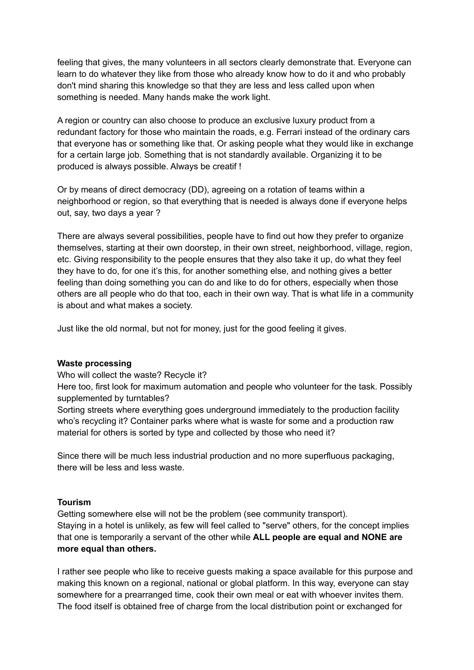feeling that gives, the many volunteers in all sectors clearly demonstrate that. Everyone can learn to do whatever they like from those who already know how to do it and who probably don't mind sharing this knowledge so that they are less and less called upon when something is needed. Many hands make the work light.

A region or country can also choose to produce an exclusive luxury product from a redundant factory for those who maintain the roads, e.g. Ferrari instead of the ordinary cars that everyone has or something like that. Or asking people what they would like in exchange for a certain large job. Something that is not standardly available. Organizing it to be produced is always possible. Always be creatif !

Or by means of direct democracy (DD), agreeing on a rotation of teams within a neighborhood or region, so that everything that is needed is always done if everyone helps out, say, two days a year ?

There are always several possibilities, people have to find out how they prefer to organize themselves, starting at their own doorstep, in their own street, neighborhood, village, region, etc. Giving responsibility to the people ensures that they also take it up, do what they feel they have to do, for one it's this, for another something else, and nothing gives a better feeling than doing something you can do and like to do for others, especially when those others are all people who do that too, each in their own way. That is what life in a community is about and what makes a society.

Just like the old normal, but not for money, just for the good feeling it gives.

#### **Waste processing**

Who will collect the waste? Recycle it?

Here too, first look for maximum automation and people who volunteer for the task. Possibly supplemented by turntables?

Sorting streets where everything goes underground immediately to the production facility who's recycling it? Container parks where what is waste for some and a production raw material for others is sorted by type and collected by those who need it?

Since there will be much less industrial production and no more superfluous packaging, there will be less and less waste.

#### **Tourism**

Getting somewhere else will not be the problem (see community transport). Staying in a hotel is unlikely, as few will feel called to "serve" others, for the concept implies that one is temporarily a servant of the other while **ALL people are equal and NONE are more equal than others.**

I rather see people who like to receive guests making a space available for this purpose and making this known on a regional, national or global platform. In this way, everyone can stay somewhere for a prearranged time, cook their own meal or eat with whoever invites them. The food itself is obtained free of charge from the local distribution point or exchanged for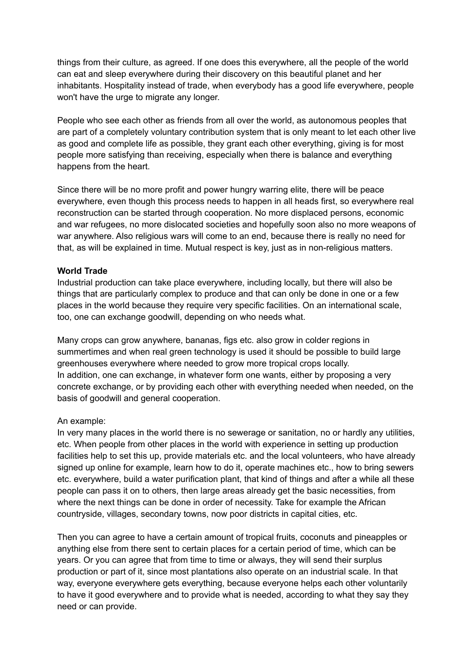things from their culture, as agreed. If one does this everywhere, all the people of the world can eat and sleep everywhere during their discovery on this beautiful planet and her inhabitants. Hospitality instead of trade, when everybody has a good life everywhere, people won't have the urge to migrate any longer.

People who see each other as friends from all over the world, as autonomous peoples that are part of a completely voluntary contribution system that is only meant to let each other live as good and complete life as possible, they grant each other everything, giving is for most people more satisfying than receiving, especially when there is balance and everything happens from the heart.

Since there will be no more profit and power hungry warring elite, there will be peace everywhere, even though this process needs to happen in all heads first, so everywhere real reconstruction can be started through cooperation. No more displaced persons, economic and war refugees, no more dislocated societies and hopefully soon also no more weapons of war anywhere. Also religious wars will come to an end, because there is really no need for that, as will be explained in time. Mutual respect is key, just as in non-religious matters.

#### **World Trade**

Industrial production can take place everywhere, including locally, but there will also be things that are particularly complex to produce and that can only be done in one or a few places in the world because they require very specific facilities. On an international scale, too, one can exchange goodwill, depending on who needs what.

Many crops can grow anywhere, bananas, figs etc. also grow in colder regions in summertimes and when real green technology is used it should be possible to build large greenhouses everywhere where needed to grow more tropical crops locally. In addition, one can exchange, in whatever form one wants, either by proposing a very concrete exchange, or by providing each other with everything needed when needed, on the basis of goodwill and general cooperation.

#### An example:

In very many places in the world there is no sewerage or sanitation, no or hardly any utilities, etc. When people from other places in the world with experience in setting up production facilities help to set this up, provide materials etc. and the local volunteers, who have already signed up online for example, learn how to do it, operate machines etc., how to bring sewers etc. everywhere, build a water purification plant, that kind of things and after a while all these people can pass it on to others, then large areas already get the basic necessities, from where the next things can be done in order of necessity. Take for example the African countryside, villages, secondary towns, now poor districts in capital cities, etc.

Then you can agree to have a certain amount of tropical fruits, coconuts and pineapples or anything else from there sent to certain places for a certain period of time, which can be years. Or you can agree that from time to time or always, they will send their surplus production or part of it, since most plantations also operate on an industrial scale. In that way, everyone everywhere gets everything, because everyone helps each other voluntarily to have it good everywhere and to provide what is needed, according to what they say they need or can provide.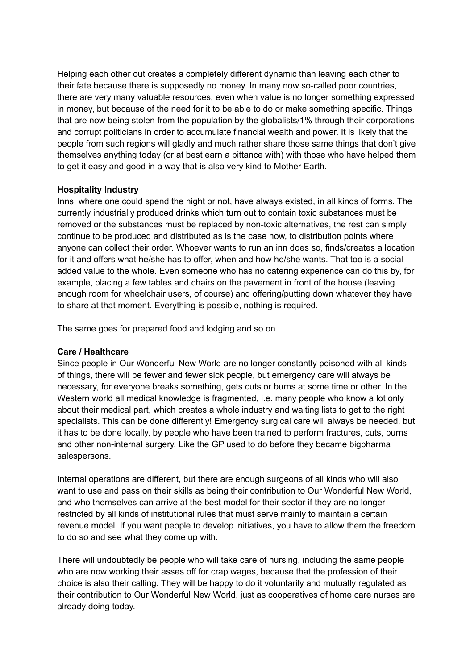Helping each other out creates a completely different dynamic than leaving each other to their fate because there is supposedly no money. In many now so-called poor countries, there are very many valuable resources, even when value is no longer something expressed in money, but because of the need for it to be able to do or make something specific. Things that are now being stolen from the population by the globalists/1% through their corporations and corrupt politicians in order to accumulate financial wealth and power. It is likely that the people from such regions will gladly and much rather share those same things that don't give themselves anything today (or at best earn a pittance with) with those who have helped them to get it easy and good in a way that is also very kind to Mother Earth.

#### **Hospitality Industry**

Inns, where one could spend the night or not, have always existed, in all kinds of forms. The currently industrially produced drinks which turn out to contain toxic substances must be removed or the substances must be replaced by non-toxic alternatives, the rest can simply continue to be produced and distributed as is the case now, to distribution points where anyone can collect their order. Whoever wants to run an inn does so, finds/creates a location for it and offers what he/she has to offer, when and how he/she wants. That too is a social added value to the whole. Even someone who has no catering experience can do this by, for example, placing a few tables and chairs on the pavement in front of the house (leaving enough room for wheelchair users, of course) and offering/putting down whatever they have to share at that moment. Everything is possible, nothing is required.

The same goes for prepared food and lodging and so on.

#### **Care / Healthcare**

Since people in Our Wonderful New World are no longer constantly poisoned with all kinds of things, there will be fewer and fewer sick people, but emergency care will always be necessary, for everyone breaks something, gets cuts or burns at some time or other. In the Western world all medical knowledge is fragmented, i.e. many people who know a lot only about their medical part, which creates a whole industry and waiting lists to get to the right specialists. This can be done differently! Emergency surgical care will always be needed, but it has to be done locally, by people who have been trained to perform fractures, cuts, burns and other non-internal surgery. Like the GP used to do before they became bigpharma salespersons.

Internal operations are different, but there are enough surgeons of all kinds who will also want to use and pass on their skills as being their contribution to Our Wonderful New World, and who themselves can arrive at the best model for their sector if they are no longer restricted by all kinds of institutional rules that must serve mainly to maintain a certain revenue model. If you want people to develop initiatives, you have to allow them the freedom to do so and see what they come up with.

There will undoubtedly be people who will take care of nursing, including the same people who are now working their asses off for crap wages, because that the profession of their choice is also their calling. They will be happy to do it voluntarily and mutually regulated as their contribution to Our Wonderful New World, just as cooperatives of home care nurses are already doing today.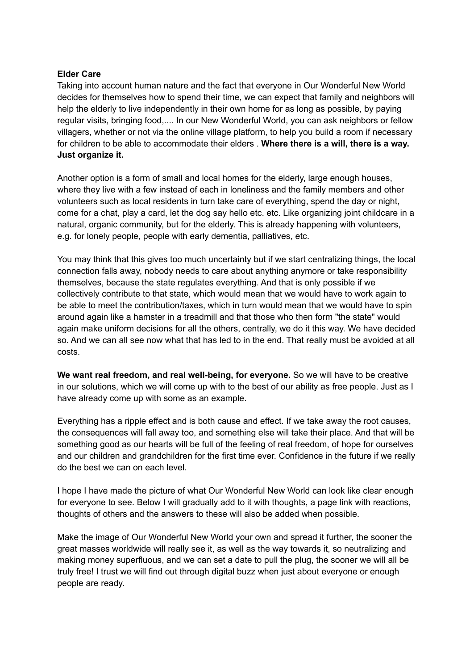#### **Elder Care**

Taking into account human nature and the fact that everyone in Our Wonderful New World decides for themselves how to spend their time, we can expect that family and neighbors will help the elderly to live independently in their own home for as long as possible, by paying regular visits, bringing food,.... In our New Wonderful World, you can ask neighbors or fellow villagers, whether or not via the online village platform, to help you build a room if necessary for children to be able to accommodate their elders . **Where there is a will, there is a way. Just organize it.**

Another option is a form of small and local homes for the elderly, large enough houses, where they live with a few instead of each in loneliness and the family members and other volunteers such as local residents in turn take care of everything, spend the day or night, come for a chat, play a card, let the dog say hello etc. etc. Like organizing joint childcare in a natural, organic community, but for the elderly. This is already happening with volunteers, e.g. for lonely people, people with early dementia, palliatives, etc.

You may think that this gives too much uncertainty but if we start centralizing things, the local connection falls away, nobody needs to care about anything anymore or take responsibility themselves, because the state regulates everything. And that is only possible if we collectively contribute to that state, which would mean that we would have to work again to be able to meet the contribution/taxes, which in turn would mean that we would have to spin around again like a hamster in a treadmill and that those who then form "the state" would again make uniform decisions for all the others, centrally, we do it this way. We have decided so. And we can all see now what that has led to in the end. That really must be avoided at all costs.

**We want real freedom, and real well-being, for everyone.** So we will have to be creative in our solutions, which we will come up with to the best of our ability as free people. Just as I have already come up with some as an example.

Everything has a ripple effect and is both cause and effect. If we take away the root causes, the consequences will fall away too, and something else will take their place. And that will be something good as our hearts will be full of the feeling of real freedom, of hope for ourselves and our children and grandchildren for the first time ever. Confidence in the future if we really do the best we can on each level.

I hope I have made the picture of what Our Wonderful New World can look like clear enough for everyone to see. Below I will gradually add to it with thoughts, a page link with reactions, thoughts of others and the answers to these will also be added when possible.

Make the image of Our Wonderful New World your own and spread it further, the sooner the great masses worldwide will really see it, as well as the way towards it, so neutralizing and making money superfluous, and we can set a date to pull the plug, the sooner we will all be truly free! I trust we will find out through digital buzz when just about everyone or enough people are ready.